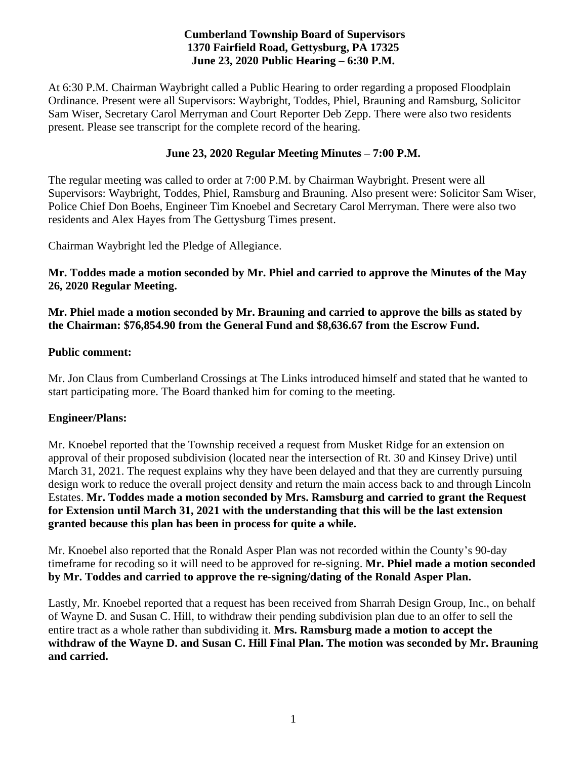# **Cumberland Township Board of Supervisors 1370 Fairfield Road, Gettysburg, PA 17325 June 23, 2020 Public Hearing – 6:30 P.M.**

At 6:30 P.M. Chairman Waybright called a Public Hearing to order regarding a proposed Floodplain Ordinance. Present were all Supervisors: Waybright, Toddes, Phiel, Brauning and Ramsburg, Solicitor Sam Wiser, Secretary Carol Merryman and Court Reporter Deb Zepp. There were also two residents present. Please see transcript for the complete record of the hearing.

#### **June 23, 2020 Regular Meeting Minutes – 7:00 P.M.**

The regular meeting was called to order at 7:00 P.M. by Chairman Waybright. Present were all Supervisors: Waybright, Toddes, Phiel, Ramsburg and Brauning. Also present were: Solicitor Sam Wiser, Police Chief Don Boehs, Engineer Tim Knoebel and Secretary Carol Merryman. There were also two residents and Alex Hayes from The Gettysburg Times present.

Chairman Waybright led the Pledge of Allegiance.

#### **Mr. Toddes made a motion seconded by Mr. Phiel and carried to approve the Minutes of the May 26, 2020 Regular Meeting.**

**Mr. Phiel made a motion seconded by Mr. Brauning and carried to approve the bills as stated by the Chairman: \$76,854.90 from the General Fund and \$8,636.67 from the Escrow Fund.**

#### **Public comment:**

Mr. Jon Claus from Cumberland Crossings at The Links introduced himself and stated that he wanted to start participating more. The Board thanked him for coming to the meeting.

# **Engineer/Plans:**

Mr. Knoebel reported that the Township received a request from Musket Ridge for an extension on approval of their proposed subdivision (located near the intersection of Rt. 30 and Kinsey Drive) until March 31, 2021. The request explains why they have been delayed and that they are currently pursuing design work to reduce the overall project density and return the main access back to and through Lincoln Estates. **Mr. Toddes made a motion seconded by Mrs. Ramsburg and carried to grant the Request for Extension until March 31, 2021 with the understanding that this will be the last extension granted because this plan has been in process for quite a while.** 

Mr. Knoebel also reported that the Ronald Asper Plan was not recorded within the County's 90-day timeframe for recoding so it will need to be approved for re-signing. **Mr. Phiel made a motion seconded by Mr. Toddes and carried to approve the re-signing/dating of the Ronald Asper Plan.** 

Lastly, Mr. Knoebel reported that a request has been received from Sharrah Design Group, Inc., on behalf of Wayne D. and Susan C. Hill, to withdraw their pending subdivision plan due to an offer to sell the entire tract as a whole rather than subdividing it. **Mrs. Ramsburg made a motion to accept the withdraw of the Wayne D. and Susan C. Hill Final Plan. The motion was seconded by Mr. Brauning and carried.**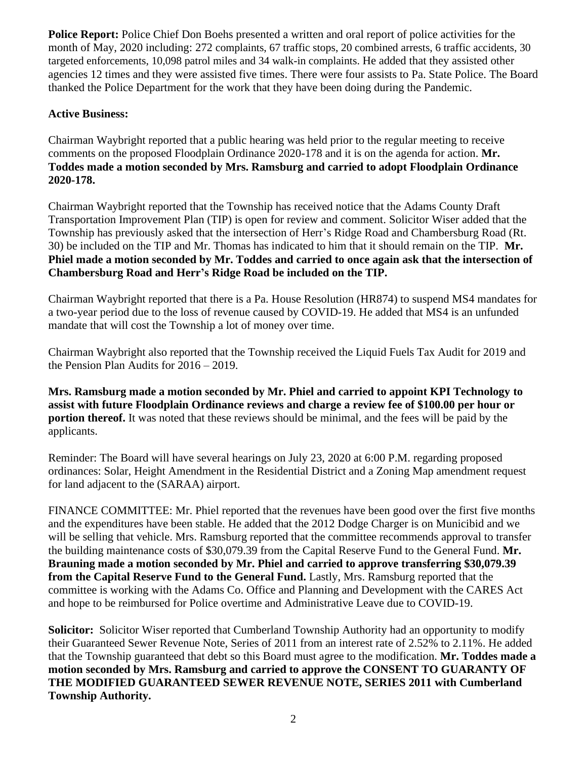**Police Report:** Police Chief Don Boehs presented a written and oral report of police activities for the month of May, 2020 including: 272 complaints, 67 traffic stops, 20 combined arrests, 6 traffic accidents, 30 targeted enforcements, 10,098 patrol miles and 34 walk-in complaints. He added that they assisted other agencies 12 times and they were assisted five times. There were four assists to Pa. State Police. The Board thanked the Police Department for the work that they have been doing during the Pandemic.

# **Active Business:**

Chairman Waybright reported that a public hearing was held prior to the regular meeting to receive comments on the proposed Floodplain Ordinance 2020-178 and it is on the agenda for action. **Mr. Toddes made a motion seconded by Mrs. Ramsburg and carried to adopt Floodplain Ordinance 2020-178.**

Chairman Waybright reported that the Township has received notice that the Adams County Draft Transportation Improvement Plan (TIP) is open for review and comment. Solicitor Wiser added that the Township has previously asked that the intersection of Herr's Ridge Road and Chambersburg Road (Rt. 30) be included on the TIP and Mr. Thomas has indicated to him that it should remain on the TIP. **Mr. Phiel made a motion seconded by Mr. Toddes and carried to once again ask that the intersection of Chambersburg Road and Herr's Ridge Road be included on the TIP.**

Chairman Waybright reported that there is a Pa. House Resolution (HR874) to suspend MS4 mandates for a two-year period due to the loss of revenue caused by COVID-19. He added that MS4 is an unfunded mandate that will cost the Township a lot of money over time.

Chairman Waybright also reported that the Township received the Liquid Fuels Tax Audit for 2019 and the Pension Plan Audits for 2016 – 2019.

**Mrs. Ramsburg made a motion seconded by Mr. Phiel and carried to appoint KPI Technology to assist with future Floodplain Ordinance reviews and charge a review fee of \$100.00 per hour or portion thereof.** It was noted that these reviews should be minimal, and the fees will be paid by the applicants.

Reminder: The Board will have several hearings on July 23, 2020 at 6:00 P.M. regarding proposed ordinances: Solar, Height Amendment in the Residential District and a Zoning Map amendment request for land adjacent to the (SARAA) airport.

FINANCE COMMITTEE: Mr. Phiel reported that the revenues have been good over the first five months and the expenditures have been stable. He added that the 2012 Dodge Charger is on Municibid and we will be selling that vehicle. Mrs. Ramsburg reported that the committee recommends approval to transfer the building maintenance costs of \$30,079.39 from the Capital Reserve Fund to the General Fund. **Mr. Brauning made a motion seconded by Mr. Phiel and carried to approve transferring \$30,079.39 from the Capital Reserve Fund to the General Fund.** Lastly, Mrs. Ramsburg reported that the committee is working with the Adams Co. Office and Planning and Development with the CARES Act and hope to be reimbursed for Police overtime and Administrative Leave due to COVID-19.

**Solicitor:** Solicitor Wiser reported that Cumberland Township Authority had an opportunity to modify their Guaranteed Sewer Revenue Note, Series of 2011 from an interest rate of 2.52% to 2.11%. He added that the Township guaranteed that debt so this Board must agree to the modification. **Mr. Toddes made a motion seconded by Mrs. Ramsburg and carried to approve the CONSENT TO GUARANTY OF THE MODIFIED GUARANTEED SEWER REVENUE NOTE, SERIES 2011 with Cumberland Township Authority.**